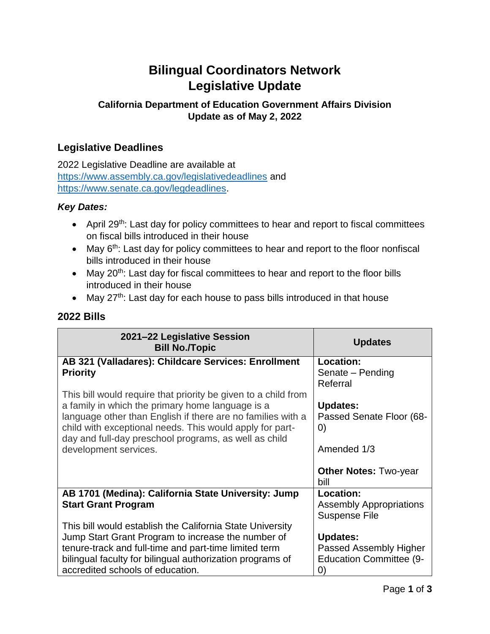# **Bilingual Coordinators Network Legislative Update**

## **California Department of Education Government Affairs Division Update as of May 2, 2022**

## **Legislative Deadlines**

2022 Legislative Deadline are available at <https://www.assembly.ca.gov/legislativedeadlines> and [https://www.senate.ca.gov/legdeadlines.](https://www.senate.ca.gov/legdeadlines)

#### *Key Dates:*

- April 29<sup>th</sup>: Last day for policy committees to hear and report to fiscal committees on fiscal bills introduced in their house
- May 6<sup>th</sup>: Last day for policy committees to hear and report to the floor nonfiscal bills introduced in their house
- May 20<sup>th</sup>: Last day for fiscal committees to hear and report to the floor bills introduced in their house
- May  $27<sup>th</sup>$ : Last day for each house to pass bills introduced in that house

#### **2022 Bills**

| 2021-22 Legislative Session<br><b>Bill No. Topic</b>                                                               | <b>Updates</b>                                           |
|--------------------------------------------------------------------------------------------------------------------|----------------------------------------------------------|
| AB 321 (Valladares): Childcare Services: Enrollment                                                                | Location:                                                |
| <b>Priority</b>                                                                                                    | Senate - Pending                                         |
|                                                                                                                    | Referral                                                 |
| This bill would require that priority be given to a child from<br>a family in which the primary home language is a | <b>Updates:</b>                                          |
| language other than English if there are no families with a                                                        | Passed Senate Floor (68-                                 |
| child with exceptional needs. This would apply for part-                                                           | $\left( 0\right)$                                        |
| day and full-day preschool programs, as well as child                                                              |                                                          |
| development services.                                                                                              | Amended 1/3                                              |
|                                                                                                                    | <b>Other Notes: Two-year</b><br>bill                     |
| AB 1701 (Medina): California State University: Jump                                                                | Location:                                                |
| <b>Start Grant Program</b>                                                                                         | <b>Assembly Appropriations</b>                           |
|                                                                                                                    | <b>Suspense File</b>                                     |
| This bill would establish the California State University                                                          |                                                          |
| Jump Start Grant Program to increase the number of                                                                 | <b>Updates:</b>                                          |
| tenure-track and full-time and part-time limited term<br>bilingual faculty for bilingual authorization programs of | Passed Assembly Higher<br><b>Education Committee (9-</b> |
| accredited schools of education.                                                                                   | $\left( 0\right)$                                        |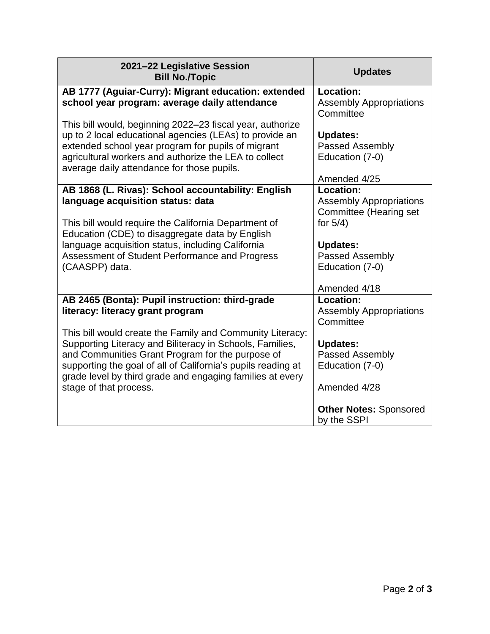| 2021-22 Legislative Session<br><b>Bill No. Topic</b>         | <b>Updates</b>                 |
|--------------------------------------------------------------|--------------------------------|
| AB 1777 (Aguiar-Curry): Migrant education: extended          | Location:                      |
| school year program: average daily attendance                | <b>Assembly Appropriations</b> |
|                                                              | Committee                      |
| This bill would, beginning 2022–23 fiscal year, authorize    |                                |
| up to 2 local educational agencies (LEAs) to provide an      | <b>Updates:</b>                |
| extended school year program for pupils of migrant           | <b>Passed Assembly</b>         |
| agricultural workers and authorize the LEA to collect        | Education (7-0)                |
| average daily attendance for those pupils.                   |                                |
|                                                              | Amended 4/25                   |
| AB 1868 (L. Rivas): School accountability: English           | Location:                      |
| language acquisition status: data                            | <b>Assembly Appropriations</b> |
|                                                              | <b>Committee (Hearing set</b>  |
| This bill would require the California Department of         | for $5/4$ )                    |
| Education (CDE) to disaggregate data by English              |                                |
| language acquisition status, including California            | <b>Updates:</b>                |
| Assessment of Student Performance and Progress               | Passed Assembly                |
| (CAASPP) data.                                               | Education (7-0)                |
|                                                              |                                |
|                                                              | Amended 4/18                   |
| AB 2465 (Bonta): Pupil instruction: third-grade              | <b>Location:</b>               |
| literacy: literacy grant program                             | <b>Assembly Appropriations</b> |
|                                                              | Committee                      |
| This bill would create the Family and Community Literacy:    |                                |
| Supporting Literacy and Biliteracy in Schools, Families,     | <b>Updates:</b>                |
| and Communities Grant Program for the purpose of             | Passed Assembly                |
| supporting the goal of all of California's pupils reading at | Education (7-0)                |
| grade level by third grade and engaging families at every    |                                |
| stage of that process.                                       | Amended 4/28                   |
|                                                              |                                |
|                                                              | <b>Other Notes: Sponsored</b>  |
|                                                              | by the SSPI                    |